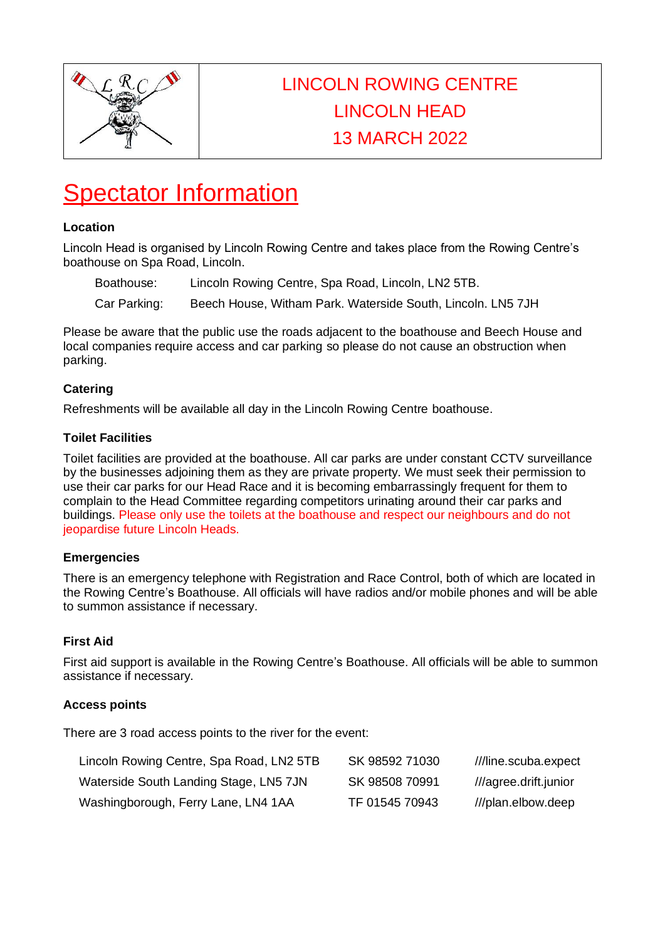

# LINCOLN ROWING CENTRE LINCOLN HEAD 13 MARCH 2022

# **Spectator Information**

#### **Location**

Lincoln Head is organised by Lincoln Rowing Centre and takes place from the Rowing Centre's boathouse on Spa Road, Lincoln.

Boathouse: Lincoln Rowing Centre, Spa Road, Lincoln, LN2 5TB.

Car Parking: Beech House, Witham Park. Waterside South, Lincoln. LN5 7JH

Please be aware that the public use the roads adjacent to the boathouse and Beech House and local companies require access and car parking so please do not cause an obstruction when parking.

## **Catering**

Refreshments will be available all day in the Lincoln Rowing Centre boathouse.

#### **Toilet Facilities**

Toilet facilities are provided at the boathouse. All car parks are under constant CCTV surveillance by the businesses adjoining them as they are private property. We must seek their permission to use their car parks for our Head Race and it is becoming embarrassingly frequent for them to complain to the Head Committee regarding competitors urinating around their car parks and buildings. Please only use the toilets at the boathouse and respect our neighbours and do not jeopardise future Lincoln Heads.

## **Emergencies**

There is an emergency telephone with Registration and Race Control, both of which are located in the Rowing Centre's Boathouse. All officials will have radios and/or mobile phones and will be able to summon assistance if necessary.

## **First Aid**

First aid support is available in the Rowing Centre's Boathouse. All officials will be able to summon assistance if necessary.

#### **Access points**

There are 3 road access points to the river for the event:

| Lincoln Rowing Centre, Spa Road, LN2 5TB | SK 98592 71030 | ///line.scuba.expect  |
|------------------------------------------|----------------|-----------------------|
| Waterside South Landing Stage, LN5 7JN   | SK 98508 70991 | ///agree.drift.junior |
| Washingborough, Ferry Lane, LN4 1AA      | TF 01545 70943 | ///plan.elbow.deep    |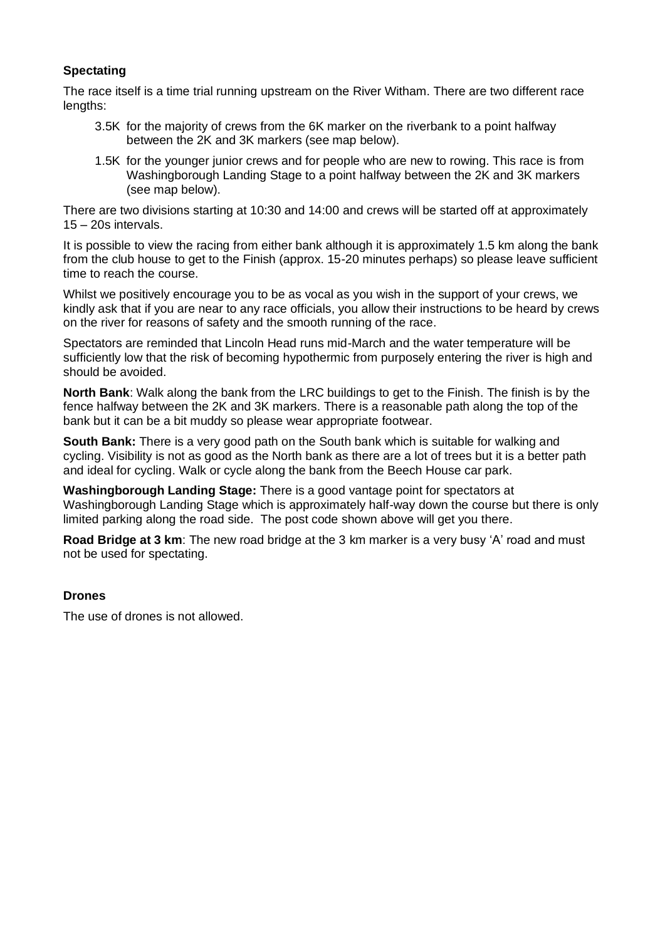#### **Spectating**

The race itself is a time trial running upstream on the River Witham. There are two different race lengths:

- 3.5K for the majority of crews from the 6K marker on the riverbank to a point halfway between the 2K and 3K markers (see map below).
- 1.5K for the younger junior crews and for people who are new to rowing. This race is from Washingborough Landing Stage to a point halfway between the 2K and 3K markers (see map below).

There are two divisions starting at 10:30 and 14:00 and crews will be started off at approximately 15 – 20s intervals.

It is possible to view the racing from either bank although it is approximately 1.5 km along the bank from the club house to get to the Finish (approx. 15-20 minutes perhaps) so please leave sufficient time to reach the course.

Whilst we positively encourage you to be as vocal as you wish in the support of your crews, we kindly ask that if you are near to any race officials, you allow their instructions to be heard by crews on the river for reasons of safety and the smooth running of the race.

Spectators are reminded that Lincoln Head runs mid-March and the water temperature will be sufficiently low that the risk of becoming hypothermic from purposely entering the river is high and should be avoided.

**North Bank**: Walk along the bank from the LRC buildings to get to the Finish. The finish is by the fence halfway between the 2K and 3K markers. There is a reasonable path along the top of the bank but it can be a bit muddy so please wear appropriate footwear.

**South Bank:** There is a very good path on the South bank which is suitable for walking and cycling. Visibility is not as good as the North bank as there are a lot of trees but it is a better path and ideal for cycling. Walk or cycle along the bank from the Beech House car park.

**Washingborough Landing Stage:** There is a good vantage point for spectators at Washingborough Landing Stage which is approximately half-way down the course but there is only limited parking along the road side. The post code shown above will get you there.

**Road Bridge at 3 km**: The new road bridge at the 3 km marker is a very busy 'A' road and must not be used for spectating.

#### **Drones**

The use of drones is not allowed.